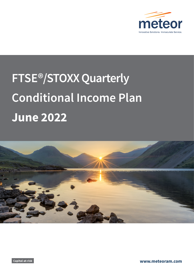

# **FTSE®/STOXX Quarterly Conditional Income Plan June 2022**



**Capital-at-risk www.meteoram.com**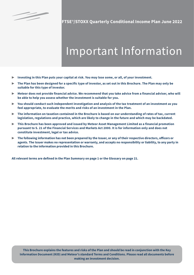

§

**FTSE**®**/STOXX Quarterly Conditional Income Plan June 2022**

# Important Information

- ▶ **Investing in this Plan puts your capital at risk. You may lose some, or all, of your investment.**
- ▶ **The Plan has been designed for a specific type of investor, as set out in this Brochure. The Plan may only be suitable for this type of investor.**
- ▶ **Meteor does not provide financial advice. We recommend that you take advice from a financial adviser, who will be able to help you assess whether the investment is suitable for you.**
- ▶ **You should conduct such independent investigation and analysis of the tax treatment of an investment as you feel appropriate, to evaluate the merits and risks of an investment in the Plan.**
- ▶ **The information on taxation contained in the Brochure is based on our understanding of rates of tax, current legislation, regulations and practice, which are likely to change in the future and which may be backdated.**
- ▶ **This Brochure has been approved and issued by Meteor Asset Management Limited as a financial promotion pursuant to S. 21 of the Financial Services and Markets Act 2000. It is for information only and does not constitute investment, legal or tax advice.**
- ▶ **The following information has not been prepared by the Issuer, or any of their respective directors, officers or agents. The Issuer makes no representation or warranty, and accepts no responsibility or liability, to any party in relation to the information provided in this Brochure.**

**All relevant terms are defined in the Plan Summary on page 1 or the Glossary on page 21.**

**This Brochure explains the features and risks of the Plan and should be read in conjunction with the Key Information Document (KID) and Meteor's standard Terms and Conditions. Please read all documents before making an investment decision.**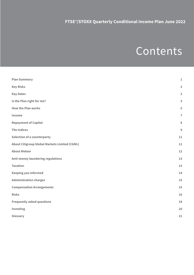# Contents

| <b>Plan Summary</b>                                  | $\mathbf 1$             |
|------------------------------------------------------|-------------------------|
| <b>Key Risks</b>                                     | $\overline{\mathbf{2}}$ |
| <b>Key Dates</b>                                     | $\overline{\mathbf{2}}$ |
| Is the Plan right for me?                            | $\overline{\mathbf{3}}$ |
| <b>How the Plan works</b>                            | 5                       |
| Income                                               | $\overline{7}$          |
| <b>Repayment of Capital</b>                          | 8                       |
| <b>The Indices</b>                                   | $\overline{9}$          |
| <b>Selection of a counterparty</b>                   | 11                      |
| <b>About Citigroup Global Markets Limited (CGML)</b> | 11                      |
| <b>About Meteor</b>                                  | 12                      |
| <b>Anti-money laundering regulations</b>             | 13                      |
| <b>Taxation</b>                                      | 13                      |
| <b>Keeping you informed</b>                          | 14                      |
| <b>Administration charges</b>                        | 15                      |
| <b>Compensation Arrangements</b>                     | 15                      |
| <b>Risks</b>                                         | 16                      |
| <b>Frequently asked questions</b>                    | 18                      |
| Investing                                            | 20                      |
| Glossary                                             | 21                      |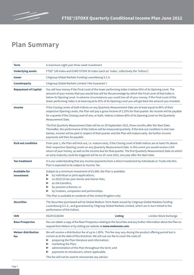### **Plan Summary**

| Term                               | A maximum eight year three week investment                                                                                                                                                                                                                                                                                                                                                                                                                   |                |                       |
|------------------------------------|--------------------------------------------------------------------------------------------------------------------------------------------------------------------------------------------------------------------------------------------------------------------------------------------------------------------------------------------------------------------------------------------------------------------------------------------------------------|----------------|-----------------------|
| <b>Underlying assets</b>           | FTSE® 100 Index and EURO STOXX 50 Index (each an 'Index', collectively the 'Indices')                                                                                                                                                                                                                                                                                                                                                                        |                |                       |
| <b>Issuer</b>                      | Citigroup Global Markets Funding Luxembourg S.C.A.                                                                                                                                                                                                                                                                                                                                                                                                           |                |                       |
| <b>Counterparty</b>                | Citigroup Global Markets Limited ('the Guarantor')                                                                                                                                                                                                                                                                                                                                                                                                           |                |                       |
| <b>Repayment of Capital</b>        | You will lose money if the Final Level of the lower performing Index is below 65% of its Opening Level. The<br>amount of your money that you would lose will be the percentage by which the Final Level of that Index is<br>below its Opening Level. In extreme circumstances you could lose all of your money. If the Final Level of the<br>lower performing Index is at least equal to 65% of its Opening Level you will get back the amount you invested. |                |                       |
| <b>Income</b>                      | If the Closing Levels of both Indices on any Quarterly Measurement Date are at least equal to 80% of their<br>respective Opening Levels, the Plan will pay a gross income of 2.25% for that quarter. No income will be payable<br>for a quarter if the Closing Level of one, or both, Indices is below 80% of its Opening Level on the Quarterly<br>Measurement Date.                                                                                        |                |                       |
|                                    | The first Quarterly Measurement Date will be on 29 September 2022, three months after the Start Date.<br>Thereafter, the performance of the Indices will be measured quarterly. If the kick-out condition is met (see<br>below), income will be paid in respect of that quarter and the Plan will mature early. No further income<br>payments will then be payable.                                                                                          |                |                       |
| <b>Kick-out condition</b>          | From year 1, the Plan will kick-out, i.e. mature early, if the Closing Level of both Indices are at least 5% above<br>their respective Opening Levels on any Quarterly Measurement Date. In this event you would receive a full<br>return of your money, as well as the income due for that quarter. The first Quarterly Measurement Date on which<br>an early maturity could be triggered will be on 29 June 2023, one year after the Start Date.           |                |                       |
| <b>Tax treatment</b>               | It is our understanding that any income payments from a direct investment by individuals or Trusts into this<br>Plan is expected to be subject to Income Tax.                                                                                                                                                                                                                                                                                                |                |                       |
| <b>Available for</b><br>investment | Subject to a minimum investment of £5,000, the Plan is available:<br>by individual or joint applications;<br>as 2022/23 tax year stocks and shares ISAs;<br>▶<br>as ISA transfers;<br>▶<br>by pension schemes; or<br>▶<br>by trustees, companies and partnerships.<br>This Plan is available to residents of the United Kingdom only.                                                                                                                        |                |                       |
| <b>Securities</b>                  | The Securities purchased will be Global Medium Term Notes issued by Citigroup Global Markets Funding<br>Luxembourg S.C.A., and guaranteed by Citigroup Global Markets Limited, which are in turn linked to the<br>performance of the Indices.                                                                                                                                                                                                                |                |                       |
| <b>ISIN</b>                        | XS2472226344                                                                                                                                                                                                                                                                                                                                                                                                                                                 | <b>Listing</b> | London Stock Exchange |
| <b>Base Prospectus</b>             | You can obtain a copy of the Base Prospectus relating to the Securities and any further information about the Plan on<br>request from Meteor or by visiting our website at www.meteoram.com.                                                                                                                                                                                                                                                                 |                |                       |
| <b>Meteor distribution</b><br>fee  | We will receive a distribution fee of up to 1.85%. This fee may vary during the product offering period but is<br>correct as at the date of this brochure. We will use our fee to cover the costs of:<br>preparing the Plan literature and information;<br>▶<br>marketing the Plan;<br>▶<br>administration of the Plan throughout the term; and<br>▶<br>payments to introducers, where applicable.<br>This fee will not be used to remunerate any adviser.   |                |                       |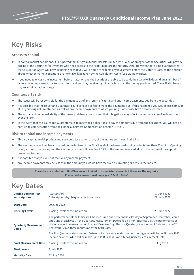

### **Key Risks**

#### **Access to capital**

- In normal market conditions, it is expected that Citigroup Global Markets Limited (the Calculation Agent of the Securities) will provide pricing of the Securities for investors who need access to their capital before the Maturity Date. However, there is no guarantee that the Calculation Agent will provide pricing or that you will be able to redeem any investment before the Maturity Date, as the decision about whether market conditions are normal will be taken by the Calculation Agent (see Liquidity risks).
- ▶ If you need to encash the investment before maturity, and the Securities are able to be sold, their value will depend on a number of factors including current market conditions and you may receive significantly less than the money you invested. You will also have to pay an administration charge.

#### **Counterparty risk**

- The Issuer will be responsible for the payment to us of any return of capital and any income payments due from the Securities.
- It is possible that the Issuer and Guarantor could collapse or fail to make the payments due. If this happened you would lose some, or all, of your original investment, as well as any income payments to which you might otherwise have become entitled.
- The actual and perceived ability of the Issuer and Guarantor to meet their obligations may affect the market value of an investment over the term.
- In the event that the Issuer and Guarantor fails to meet their obligations to pay the amounts due from the Securities, you will not be entitled to compensation from the Financial Services Compensation Scheme ('FSCS').

#### **Risk to capital and income payments**

- This is a capital-at-risk product and you could lose some, or all, of the money you invest in the Plan.
- ▶ The amount you will get back is based on the Indices. If the Final Level of the lower performing Index is less than 65% of its Opening Level, you will lose money and the amount you lose will be at least 35% of the amount invested, due to the nature of the capital protection barrier.
- It is possible that you will not receive any income payments.
- Any income payments may be less than the amount you would have received by investing directly in the Indices.

**The risks associated with this Plan are not limited to those listed above, but these are the key risks. Further risks are outlined on pages 16 & 17, 'Risks'.**

### **Key Dates**

| <b>Closing Date for Plan</b><br>subscriptions | <b>ISA transfers</b><br>13 June 2022<br>Subscriptions by cheque or bank transfers<br>27 June 2022                                                                                                                                                                                                                                                                                                                                                                                                                                                                                                    |              |  |
|-----------------------------------------------|------------------------------------------------------------------------------------------------------------------------------------------------------------------------------------------------------------------------------------------------------------------------------------------------------------------------------------------------------------------------------------------------------------------------------------------------------------------------------------------------------------------------------------------------------------------------------------------------------|--------------|--|
| <b>Start Date</b>                             | 29 June 2022                                                                                                                                                                                                                                                                                                                                                                                                                                                                                                                                                                                         |              |  |
| <b>Opening Levels</b>                         | Closing Levels of the Indices on                                                                                                                                                                                                                                                                                                                                                                                                                                                                                                                                                                     | 29 June 2022 |  |
| <b>Quarterly Measurement</b><br><b>Dates</b>  | The performance of the Indices will be measured quarterly on the 29th day of September, December, March<br>and June of each year. If the Quarterly Measurement Date falls on a non-Business Day, the performance of<br>the Indices will be measured on the next Business Day. The first Quarterly Measurement Date will be on 29<br>September 2022, three months after the Start Date.<br>The first Quarterly Measurement Date on which an early maturity could be triggered will be on 29 June 2023.<br>Income payments due will be made up to 15 Business Days after a Quarterly Measurement Date. |              |  |
| <b>Final Measurement Date</b>                 | Closing Levels of the Indices on                                                                                                                                                                                                                                                                                                                                                                                                                                                                                                                                                                     | 1 July 2030  |  |
| <b>Final Levels</b>                           | 1 July 2030                                                                                                                                                                                                                                                                                                                                                                                                                                                                                                                                                                                          |              |  |
| <b>Maturity Date</b>                          | 22 July 2030                                                                                                                                                                                                                                                                                                                                                                                                                                                                                                                                                                                         |              |  |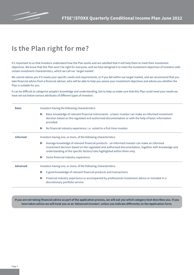

### **Is the Plan right for me?**

It's important to us that investors understand how the Plan works and are satisfied that it will help them to meet their investment objectives. We know that this Plan won't be right for everyone, and we have designed it to meet the investment objectives of investors with certain investment characteristics, which we call our 'target market'.

We cannot advise you if it meets your specific needs and requirements, or if you fall within our target market, and we recommend that you take financial advice from a financial adviser, who will be able to help you assess your investment objectives and advise you whether the Plan is suitable for you.

It can be difficult to categorise people's knowledge and understanding, but to help us make sure that this Plan could meet your needs we have set out below various attributes of different types of investors.

| <b>Basic</b>    | Investors having the following characteristics:                                                                                                                                                                                                                                                            |  |  |  |
|-----------------|------------------------------------------------------------------------------------------------------------------------------------------------------------------------------------------------------------------------------------------------------------------------------------------------------------|--|--|--|
|                 | Basic knowledge of relevant financial instruments - a basic investor can make an informed investment<br>$\blacktriangleright$<br>decision based on the regulated and authorised documentation or with the help of basic information<br>provided.                                                           |  |  |  |
|                 | No financial industry experience, i.e. suited to a first time investor.<br>$\blacktriangleright$                                                                                                                                                                                                           |  |  |  |
| <b>Informed</b> | Investors having one, or more, of the following characteristics:                                                                                                                                                                                                                                           |  |  |  |
|                 | Average knowledge of relevant financial products - an informed investor can make an informed<br>$\blacktriangleright$<br>investment decision based on the regulated and authorised documentation, together with knowledge and<br>understanding of the specific factors/risks highlighted within them only. |  |  |  |
|                 | Some financial industry experience.                                                                                                                                                                                                                                                                        |  |  |  |
| <b>Advanced</b> | Investors having one, or more, of the following characteristics:                                                                                                                                                                                                                                           |  |  |  |
|                 | A good knowledge of relevant financial products and transactions.                                                                                                                                                                                                                                          |  |  |  |
|                 | Financial industry experience or accompanied by professional investment advice or included in a<br>▶<br>discretionary portfolio service.                                                                                                                                                                   |  |  |  |

**If you are not taking financial advice as part of the application process, we will ask you which category best describes you. If you have taken advice we will treat you as an 'Advanced Investor', unless you indicate differently on the Application Form.**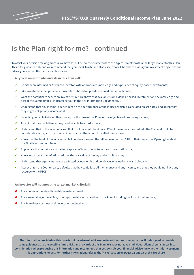

### **Is the Plan right for me? - continued**

To assist your decision making process, we have set out below the characteristics of a typical investor within the target market for this Plan. This is for guidance only and we recommend that you speak to a financial adviser, who will be able to assess your investment objectives and advise you whether the Plan is suitable for you.

**A typical investor who invests in this Plan will:**

- ü Be either an Informed or Advanced Investor, with appropriate knowledge and experience of equity-based investments;
- $\checkmark$  Like investments that provide known returns based on pre-determined market outcomes;
- ü Want the potential to secure an investment return above that available from a deposit-based investment and acknowledge and accept the Summary Risk Indicator set out in the Key Information Document (KID);
- ü Understand that any income is dependent on the performance of the Indices, which is calculated on set dates, and accept that they might not get any income at all;
- Be willing and able to tie up their money for the term of the Plan for the objective of producing income;
- Accept that they could lose money, and be able to afford to do so;
- ü Understand that in the event of a loss that this loss would be at least 35% of the money they put into the Plan and could be considerably more, and in extreme circumstances they could lose all of their money;
- ü Know that the level of the Indices can fall but do not expect the fall to be more than 35% of their respective Opening Levels at the Final Measurement Date;
- ü Appreciate the importance of having a spread of investments to reduce concentration risk;
- Know and accept that inflation reduces the real value of money and what it can buy;
- $\checkmark$  Understand that equity markets are affected by economic and political events nationally and globally;
- $\checkmark$  Accept that if the Counterparty defaults that they could lose all their money and any income, and that they would not have any recourse to the FSCS.

**An investor will not meet the target market criteria if:**

- $\star$  They do not understand how this investment works;
- û They are unable, or unwilling, to accept the risks associated with this Plan, including the loss of their money;
- **\*** The Plan does not meet their investment objectives.

**The information provided on this page is not investment advice or an investment recommendation. It is designed to provide some guidance as to the possible future risks and rewards of this Plan. We have not taken individual client circumstances into consideration when producing this information and recommend that you consult your financial adviser on whether this investment is appropriate for you. For further information, refer to the 'Risks' section on pages 16 and 17 of this Brochure.**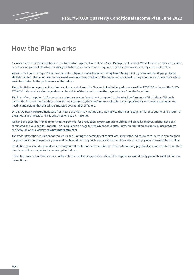

### **How the Plan works**

An investment in the Plan constitutes a contractual arrangement with Meteor Asset Management Limited. We will use your money to acquire Securities, on your behalf, which are designed to have the characteristics required to achieve the investment objectives of the Plan.

We will invest your money in Securities issued by Citigroup Global Markets Funding Luxembourg S.C.A., guaranteed by Citigroup Global Markets Limited. The Securities can be viewed in a similar way to a loan to the Issuer and are linked to the performance of Securities, which are in turn linked to the performance of the Indices.

The potential income payments and return of any capital from the Plan are linked to the performance of the FTSE 100 Index and the EURO STOXX 50 Index and are also dependent on the ability of the Issuer to make the payments due from the Securities.

The Plan offers the potential for an enhanced return on your investment compared to the actual performance of the Indices. Although neither the Plan nor the Securities tracks the Indices directly, their performance will affect any capital return and income payments. You need to understand that this will be impacted by a number of factors.

On any Quarterly Measurement Date from year 1 the Plan may mature early, paying you the income payment for that quarter and a return of the amount you invested. This is explained on page 7 , 'Income'.

We have designed the Plan to try to limit the potential for a reduction in your capital should the Indices fall. However, risk has not been eliminated and your capital is at risk. This is explained on page 8, 'Repayment of Capital'. Further information on capital at risk products can be found on our website at **www.meteoram.com**.

The trade-off for the possible enhanced return and limiting the possibility of capital loss is that if the Indices were to increase by more than the potential income payments, you would not benefit from any such increase in excess of any investment payments provided by the Plan.

In addition, you should also understand that you will not be entitled to receive the dividends normally payable if you had invested directly in the shares of the companies that make up the Indices.

If the Plan is oversubscribed we may not be able to accept your application; should this happen we would notify you of this and ask for your instructions.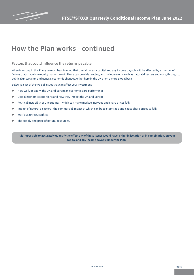

### **How the Plan works - continued**

#### **Factors that could influence the returns payable**

When investing in this Plan you must bear in mind that the risk to your capital and any income payable will be affected by a number of factors that shape how equity markets work. These can be wide ranging, and include events such as natural disasters and wars, through to political uncertainty and general economic changes, either here in the UK or on a more global basis.

Below is a list of the type of issues that can affect your investment:

- $\blacktriangleright$  How well, or badly, the UK and European economies are performing;
- ▶ Global economic conditions and how they impact the UK and Europe;
- ▶ Political instability or uncertainty which can make markets nervous and share prices fall;
- ▶ Impact of natural disasters the commercial impact of which can be to stop trade and cause share prices to fall;
- ▶ War/civil unrest/conflict;
- The supply and price of natural resources.

**It is impossible to accurately quantify the effect any of these issues would have, either in isolation or in combination, on your capital and any income payable under the Plan.**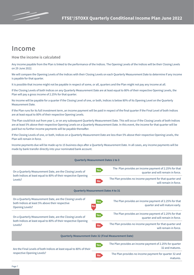

### **Income**

**How the income is calculated** 

Any income payable from the Plan is linked to the performance of the Indices. The Opening Levels of the Indices will be their Closing Levels on 29 June 2022.

We will compare the Opening Levels of the Indices with their Closing Levels on each Quarterly Measurement Date to determine if any income is payable for that quarter.

It is possible that income might not be payable in respect of some, or all, quarters and the Plan might not pay any income at all.

If the Closing Levels of both Indices on any Quarterly Measurement Date are at least equal to 80% of their respective Opening Levels, the Plan will pay a gross income of 2.25% for that quarter.

No income will be payable for a quarter if the Closing Level of one, or both, Indices is below 80% of its Opening Level on the Quarterly Measurement Date.

If the Plan runs for its full investment term, an income payment will be paid in respect of the final quarter if the Final Level of both Indices are at least equal to 80% of their respective Opening Levels.

The Plan could kick out from year 1, or on any subsequent Quarterly Measurement Date. This will occur if the Closing Levels of both Indices are at least 5% above their respective Opening Levels on a Quarterly Measurement Date. In this event, the income for that quarter will be paid but no further income payments will be payable thereafter.

If the Closing Levels of one, or both, Indices on a Quarterly Measurement Date are less than 5% above their respective Opening Levels, the Plan will remain in force.

Income payments due will be made up to 15 business days after a Quarterly Measurement Date. In all cases, any income payments will be made by bank transfer directly into your nominated bank account.

| <b>Quarterly Measurement Dates 1 to 3</b>                                                                                               |                                                                                                          |  |  |  |
|-----------------------------------------------------------------------------------------------------------------------------------------|----------------------------------------------------------------------------------------------------------|--|--|--|
| On a Quarterly Measurement Date, are the Closing Levels of                                                                              | The Plan provides an income payment of 2.25% for that<br><b>Yes</b><br>quarter and will remain in force. |  |  |  |
| both Indices at least equal to 80% of their respective Opening<br>Levels?                                                               | The Plan provides no income payment for that quarter and<br><b>No</b><br>will remain in force.           |  |  |  |
| <b>Quarterly Measurement Dates 4 to 31</b>                                                                                              |                                                                                                          |  |  |  |
| On a Quarterly Measurement Date, are the Closing Levels of<br>both Indices at least 5% above their respective<br><b>Opening Levels?</b> | The Plan provides an income payment of 2.25% for that<br>Yes<br>quarter and will mature early.<br>l No   |  |  |  |
| On a Quarterly Measurement Date, are the Closing Levels of                                                                              | The Plan provides an income payment of 2.25% for that<br><b>Yes</b><br>quarter and will remain in force. |  |  |  |
| both Indices at least equal to 80% of their respective Opening<br>Levels?                                                               | The Plan provides no income payment for that quarter and<br><b>No</b><br>will remain in force.           |  |  |  |
| <b>Quarterly Measurement Date 32 (Final Measurement Date)</b>                                                                           |                                                                                                          |  |  |  |
| Are the Final Levels of both Indices at least equal to 80% of their                                                                     | The Plan provides an income payment of 2.25% for quarter<br>Yes<br>32 and matures.                       |  |  |  |
| respective Opening Levels?                                                                                                              | The Plan provides no income payment for quarter 32 and<br>No.<br>matures.                                |  |  |  |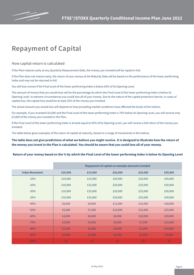

### **Repayment of Capital**

**How capital return is calculated**

If the Plan matures early at any Quarterly Measurement Date, the money you invested will be repaid in full.

If the Plan does not mature early, the return of your money at the Maturity Date will be based on the performance of the lower performing Index and may not be returned in full.

You will lose money if the Final Level of the lower performing Index is below 65% of its Opening Level.

The amount of money that you would lose will be the percentage by which the Final Level of the lower performing Index is below its Opening Level. In extreme circumstances you could lose all of your money. Due to the nature of the capital protection barrier, in cases of capital loss, the capital loss would be at least 35% of the money you invested.

The actual amount you would lose will depend on how prevailing market conditions have affected the levels of the Indices.

For example, if you invested £10,000 and the Final Level of the lower performing Index is 70% below its Opening Level, you will receive only £3,000 of the money you invested in the Plan.

If the Final Level of the lower performing Index is at least equal to 65% of its Opening Level, you will receive a full return of the money you invested.

The table below gives examples of the return of capital at maturity, based on a range of movements in the Indices.

#### **The table does not give predictions of what we believe you might receive. It is designed to illustrate how the return of the money you invest in the Plan is calculated. You should be aware that you could lose all of your money.**

#### **Return of your money based on the % by which the Final Level of the lower performing Index is below its Opening Level**

|                       | Repayment of capital on example amounts invested |         |         |         |         |
|-----------------------|--------------------------------------------------|---------|---------|---------|---------|
| <b>Index Movement</b> | £10,000                                          | £15,000 | £20,000 | £25,000 | £50,000 |
| $-10%$                | £10,000                                          | £15,000 | £20,000 | £25,000 | £50,000 |
| $-20%$                | £10,000                                          | £15,000 | £20,000 | £25,000 | £50,000 |
| $-30%$                | £10,000                                          | £15,000 | £20,000 | £25,000 | £50,000 |
| $-35%$                | £10,000                                          | £15,000 | £20,000 | £25,000 | £50,000 |
| $-40%$                | £6,000                                           | £9,000  | £12,000 | £15,000 | £30,000 |
| $-50%$                | £5,000                                           | £7,500  | £10,000 | £12,500 | £25,000 |
| $-60%$                | £4,000                                           | £6,000  | £8,000  | £10,000 | £20,000 |
| $-70%$                | £3,000                                           | £4,500  | £6,000  | £7,500  | £15,000 |
| $-80%$                | £2,000                                           | £3,000  | £4,000  | £5,000  | £10,000 |
| $-90%$                | £1,000                                           | £1,500  | £2,000  | £2,500  | £5,000  |
| $-100%$               | £0                                               | £0      | £0      | £0      | £0      |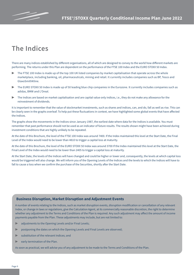

### **The Indices**

There are many indices established by different organisations, all of which are designed to convey to the world how different markets are performing. The returns under this Plan are dependent on the performance of the FTSE 100 Index and the EURO STOXX 50 Index.

- The FTSE 100 Index is made up of the top 100 UK listed companies by market capitalisation that operate across the whole marketplace, including banking, oil, pharmaceuticals, mining and retail. It currently includes companies such as BP, Tesco and GlaxoSmithKline.
- The EURO STOXX 50 Index is made up of 50 leading blue chip companies in the Eurozone. It currently includes companies such as adidas, BMW and L'Oreal.
- ▶ The Indices are based on market capitalisation and are capital value only indices, i.e., they do not make any allowance for the reinvestment of dividends.

It is important to remember that the value of stockmarket investments, such as shares and indices, can, and do, fall as well as rise. This can be clearly seen in the graphs overleaf. To help put these fluctuations in context, we have highlighted some global events that have affected the Indices.

The graphs show the movements in the Indices since January 1987, the earliest date where data for the Indices is available. You must remember that past performance should not be used as an indicator of future results. The results shown might have been achieved during investment conditions that are highly unlikely to be repeated.

At the date of this Brochure, the level of the FTSE 100 Index was around 7400. If the Index maintained this level at the Start Date, the Final Level of the Index would need to be lower than 4810 to trigger a capital loss at maturity.

At the date of this Brochure, the level of the EURO STOXX 50 Index was around 3700 If the Index maintained this level at the Start Date, the Final Level of the Index would need to be lower than 2405 to trigger a capital loss at maturity.

At the Start Date, the levels of the Indices will have changed and could be higher or lower and, consequently, the levels at which capital loss would be triggered will also change. We will inform you of the Opening Levels of the Indices and the levels to which the Indices will have to fall to cause a loss when we confirm the purchase of the Securities, shortly after the Start Date.

#### **Business Disruption, Market Disruption and Adjustment Events**

A number of events relating to the Indices, such as market disruption events, disruption modification or cancellation of any relevant Index, or change in laws or regulations, give the Calculation Agent, at its commercially reasonable discretion, the right to determine whether any adjustment to the Terms and Conditions of the Plan is required. Any such adjustment may affect the amount of income payments payable from the Plan. These adjustments may include, but are not limited to:

- adjustments to the Opening Levels and/or Final Levels;
- postponing the dates on which the Opening Levels and Final Levels are observed;
- substitution of the relevant Indices; and
- $\blacktriangleright$  early termination of the Plan.

As soon as practical, we will advise you of any adjustment to be made to the Terms and Conditions of the Plan.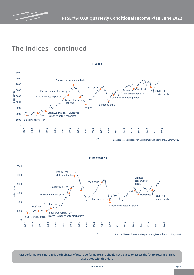

### **The Indices - continued**





**Past performance is not a reliable indicator of future performance and should not be used to assess the future returns or risks associated with this Plan.**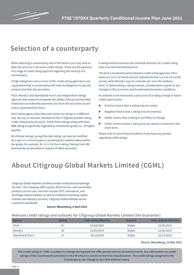

### **Selection of a counterparty**

When selecting a counterparty one of the factors you may wish to take into account is its issuer credit ratings. These are the opinions of a range of credit rating agencies regarding the security of a counterparty.

A high rating from one or more of the credit rating agencies is not a guarantee that a counterparty will meet its obligation to pay the amount due from the securities.

Fitch, Moody's and Standard & Poor's are independent ratings agencies that research and grade the ability of financial and other institutions to make the payments due from the securities issued and/or guaranteed by them.

Each rating agency describes and names its ratings in a different way. By way of example, Standard & Poor's highest possible rating is AAA, followed by AA and A. These three ratings along with their BBB rating are generally regarded as investment grade (i.e., of higher quality).

All of these ratings, except the AAA rating, can also be modified by a plus or a minus to give a counterparty's relative status within the grade; for example, A+, A, A- for the A rating. Ratings from BB downwards are provided in respect of other securities.

A rating outlook assesses the potential direction of a credit rating view over the intermediate term.

The term considered varies between credit rating agencies; Fitch looks at a 12 to 24 month period, Standard & Poor's a 6 to 24 month period, while Moody's says its outlooks are 'over the medium term'. In determining a rating outlook, consideration is given to any changes in the economic and fundamental business conditions.

An outlook is not necessarily a precursor of a rating change or future credit watch action.

- Positive means that a rating may be raised.
- Negative means that a rating may be lowered.
- ▶ Stable means that a rating is not likely to change.
- Under review means a rating may be raised or lowered in the short term.

Please refer to your financial adviser if you have any queries regarding credit ratings.

### **About Citigroup Global Markets Limited (CGML)**

Citigroup Global Markets Limited provides institutional brokerage services. The Company offers equity, fixed income, and commodity products across cash, over-the-counter (OTC) derivatives, and exchange traded markets, as well as investment banking capital markets and advisory services. Citigroup Global Markets serves customers worldwide.

#### **Source: Bloomberg, 5 April 2022**

#### **Relevant credit ratings and outlooks for Citigroup Global Markets Limited (the Guarantor)**

| Agency            | <b>Rating</b> | Date rating effective | Outlook       | Date outlook effective |
|-------------------|---------------|-----------------------|---------------|------------------------|
| Fitch             | $A+$          | 22/04/2020            | <b>Stable</b> | 12/05/2021             |
| Moody's           | A1            | 21/02/2019            | <b>Stable</b> | 21/02/2019             |
| Standard & Poor's | A+            | 16/12/2016            | <b>Stable</b> | 16/12/2016             |

#### **Source: Bloomberg, 10 May 2022**

**The credit rating of CGML is subject to change during both the offer period and the investment term. Any information on credit ratings of the Counterparty provided in this Brochure is correct at the time of publication. The credit ratings assigned to the Counterparty can change at any time without notice.**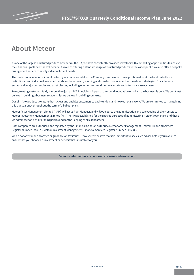

### **About Meteor**

As one of the largest structured product providers in the UK, we have consistently provided investors with compelling opportunities to achieve their financial goals over the last decade. As well as offering a standard range of structured products to the wider public, we also offer a bespoke arrangement service to satisfy individual client needs.

The professional relationships cultivated by our team are vital to the Company's success and have positioned us at the forefront of both institutional and individual investors' minds for the research, sourcing and construction of effective investment strategies. Our solutions embrace all major currencies and asset classes, including equities, commodities, real estate and alternative asset classes.

To us, treating customers fairly is more than just an FCA Principle; it is part of the sound foundation on which the business is built. We don't just believe in building a business relationship, we believe in building your trust.

Our aim is to produce literature that is clear and enables customers to easily understand how our plans work. We are committed to maintaining this transparency throughout the term of all of our plans.

Meteor Asset Management Limited (MAM) will act as Plan Manager, and will outsource the administration and safekeeping of client assets to Meteor Investment Management Limited (MIM). MIM was established for the specific purposes of administering Meteor's own plans and those we administer on behalf of third parties and for the keeping of all client assets.

Both companies are authorised and regulated by the Financial Conduct Authority. Meteor Asset Management Limited: Financial Services Register Number - 459325. Meteor Investment Management: Financial Services Register Number - 496880.

We do not offer financial advice or guidance on tax issues. However, we believe that it is important to seek such advice before you invest, to ensure that you choose an investment or deposit that is suitable for you.

**For more information, visit our website www.meteoram.com**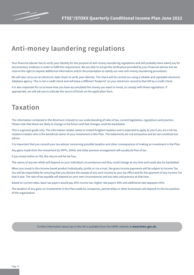

### **Anti-money laundering regulations**

Your financial adviser has to verify your identity for the purpose of anti-money laundering regulations and will probably have asked you for documentary evidence in order to fulfil this requirement. We are able to accept the verification provided by your financial adviser but we reserve the right to request additional information and/or documentation to satisfy our own anti-money laundering procedures.

We will also carry out an electronic data check to verify your identity. The check will be carried out using a reliable and reputable electronic database agency. This is not a credit check and will leave a different 'footprint' on your electronic record to that left by a credit check.

It is also important for us to know how you have accumulated the money you want to invest, to comply with these regulations. If appropriate, we will ask you to indicate the source of funds on the application form.

### **Taxation**

The information contained in this Brochure is based on our understanding of rates of tax, current legislation, regulations and practice. Please note that these are likely to change in the future and that changes could be backdated.

This is a general guide only. The information relates solely to United Kingdom taxation and is expected to apply to you if you are a UK tax resident investor who is the beneficial owner of your investment in this Plan. The statements are not exhaustive and do not constitute tax advice.

It is important that you consult your tax adviser concerning possible taxation and other consequences of making an investment in the Plan.

Any gains made from the investment by SIPPs, SSASs and other pension arrangement will usually be free of tax.

If you invest within an ISA, the returns will be tax free.

The values of any tax reliefs will depend on your individual circumstances and they could change at any time and could also be backdated.

When you invest in this income based product individually, jointly or via a trust, the gross income payments will be subject to Income Tax. You will be responsible for ensuring that you declare the receipt of any such income to your tax office and for the payment of any Income Tax that is due. The rate of tax payable will depend on your own circumstances and tax rates and practice at that time.

Based on current rates, basic tax payers would pay 20% income tax, higher rate payers 40% and additional rate taxpayers 45%.

The taxation of any gains on investments in the Plan made by companies, partnerships or other businesses will depend on the tax position of the organisation.

Further information about tax in the UK is available from the HMRC website at **www.hmrc.gov.uk.**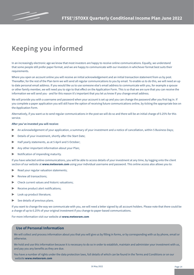

### **Keeping you informed**

In an increasingly electronic age we know that most investors are happy to receive online communications. Equally, we understand that some people still prefer paper format, and we are happy to communicate with our investors in whichever format best suits their requirements.

Where you open an account online you will receive an initial acknowledgement and an initial transaction statement from us by post. Thereafter, for the rest of the Plan term we will send all regular communications to you by email. To enable us to do this, we will need an up to date personal email address. If you would like us to use someone else's email address to communicate with you, for example a spouse or other family member, we will need you to sign to that effect on the Application Form. This is so that we are sure that you can receive the information we will send you - and for this reason it's important that you let us know if you change email address.

We will provide you with a username and password when your account is set up and you can change the password after you first log in. If you complete a paper application you will still have the option of receiving future communications online, by ticking the appropriate box on the Application Form.

Alternatively, if you want us to send regular communications in the post we will do so and there will be an initial charge of 0.25% for this service.

#### **After you've invested you will receive:**

- An acknowledgement of your application, a summary of your investment and a notice of cancellation, within 5 Business Days;
- Details of your investment, shortly after the Start Date:
- Half yearly statements, as at 5 April and 5 October;
- ▶ Any other important information about your Plan;
- ▶ Notification of impending maturity.

If you have selected online communications, you will be able to access details of your investment at any time, by logging onto the client section of our website at **www.meteoram.com** using your individual username and password. This online access also allows you to:

- Read your regular valuation statements;
- Review all transactions:
- Check current values and historic valuations;
- Receive product alert notifications;
- Look up product literature;
- $\triangleright$  See details of previous plans.

If you want to change the way we communicate with you, we will need a letter signed by all account holders. Please note that there could be a charge of up to 0.25% of your original investment if you change to paper-based communications.

For more information visit our website at **www.meteoram.com**

#### **Use of Personal Information**

We will collect and process information about you that you will give us by filling in forms, or by corresponding with us by phone, email or otherwise.

We hold and use this information because it is necessary to do so in order to establish, maintain and administer your investment with us, and pay you any benefits as they are due.

You have a number of rights under the data protection laws, full details of which can be found in the Terms and Conditions or on our website **www.meteoram.com**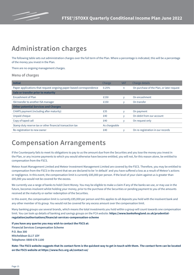

### **Administration charges**

The following table sets out administration charges over the full term of the Plan. Where a percentage is indicated, this will be a percentage of the money you invest in the Plan.

There are no ongoing management charges.

#### **Menu of charges**

| <b>Initial</b>                                                     | Charge        | <b>VAT</b> | Charge details                            |
|--------------------------------------------------------------------|---------------|------------|-------------------------------------------|
| Paper applications that request ongoing paper-based correspondence | 0.25%         | n          | On purchase of the Plan, or later request |
| Sale or transfer prior to maturity                                 |               |            |                                           |
| Encashment of Plan                                                 | £150          | v          | On encashment                             |
| ISA transfer to another ISA manager                                | £150          | v          | On transfer                               |
| <b>Other potential Services and Charges</b>                        |               |            |                                           |
| CHAPS payment (including after maturity)                           | £35           | ٧          | On payment                                |
| Unpaid cheque                                                      | £40           | ٧          | On debit from our account                 |
| Copy of taped call                                                 | £40           | V          | On request only                           |
| Stamp duty reserve tax or other financial transaction tax          | As chargeable |            |                                           |
| Re-registration to new owner                                       | £40           |            | On re-registration in our records         |

### **Compensation Arrangements**

If the Counterparty fails to meet its obligations to pay to us the amount due from the Securities and you lose the money you invest in the Plan, or any income payments to which you would otherwise have become entitled, you will not, for this reason alone, be entitled to compensation from the FSCS.

Meteor Asset Management Limited and Meteor Investment Management Limited are covered by the FSCS. Therefore, you may be entitled to compensation from the FSCS in the event that we are declared to be 'in default' and you have suffered a loss as a result of Meteor's actions or negligence. In this event, the compensation limit is currently £85,000 per person. If the level of your claim against us is greater than £85,000 you would not be covered for the excess.

We currently use a range of banks to hold Client Money. You may be eligible to make a claim if any of the banks we use, or may use in the future, becomes insolvent whilst holding your money, prior to the purchase of the Securities or pending payment to you of the amounts received at the maturity or earlier redemption of the Securities.

In this event, the compensation limit is currently £85,000 per person and this applies to all deposits you hold with the insolvent bank and any other member of its group. You would not be covered for any excess amount over the compensation limit.

Many banking groups use several brands, which means the total investments you hold within a group will count towards one compensation limit. You can look up details of banking and savings groups on the FCA website: **https://www.bankofengland.co.uk/prudentialregulation/authorisations/financial-services-compensation-scheme**

**If you have any queries you may wish to contact the FSCS at: Financial Services Compensation Scheme P.O. Box 300 Mitcheldean GL17 1DY Telephone: 0800 678 1100**

**Note: The FSCS website suggests that its contact form is the quickest way to get in touch with them. The contact form can be located on the FSCS website at https://www.fscs.org.uk/contact-us/**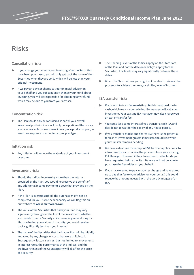

### **Risks**

#### **Cancellation risks**

- If you change your mind about investing after the Securities have been purchased, you will only get back the value of the Securities when they are sold, which will be less than your original investment.
- If we pay an adviser charge to your financial adviser on your behalf and you subsequently change your mind about investing, you will be responsible for obtaining any refund which may be due to you from your adviser.

#### **Concentration risk**

The Plan should only be considered as part of your overall investment portfolio. You should only put a portion of the money you have available for investment into any one product or plan, to avoid over exposure to a counterparty or plan type.

#### **Inflation risk**

Any inflation will reduce the real value of your investment over time.

#### **Investment risks**

- Should the Indices increase by more than the returns provided by the Plan, you would not receive the benefit of any additional income payments above that provided by the Plan.
- ▶ If the Plan is oversubscribed, the purchase might not be completed for you. As we near capacity we will flag this on our website at **www.meteoram.com**.
- The value of the Securities that back your Plan may vary significantly throughout the life of the investment. Whether you decide to sell a Security at its prevailing value during its life, or whether you wait until maturity, you could receive back significantly less than you invested.
- The value of the Securities that back your Plan will be initially impacted by any charges or costs that were built into it. Subsequently, factors such as, but not limited to, movements in interest rates, the performance of the Indices, and the creditworthiness of the Counterparty will all affect the price of a security.
- ▶ The Opening Levels of the Indices apply on the Start Date of the Plan and not the date on which you apply for the Securities. The levels may vary significantly between these dates.
- When the Plan matures you might not be able to reinvest the proceeds to achieve the same, or similar, level of income.

#### **ISA transfer risks**

- If you wish to transfer an existing ISA this must be done in cash, which means your existing ISA manager will sell your investment. Your existing ISA manager may also charge you an exit or transfer fee.
- You could lose some interest if you transfer a cash ISA and decide not to wait for the expiry of any notice period.
- $\blacktriangleright$  If you transfer a stocks and shares ISA there is the potential for loss of investment growth if markets should rise while your transfer remains pending.
- ▶ We have a deadline for receipt of ISA transfer applications, to allow time for us to receive the proceeds from your existing ISA Manager. However, if they do not send us the funds you have requested before the Start Date we will not be able to purchase the Securities on your behalf.
- If you have elected to pay an adviser charge and have asked us to pay that fee to your adviser on your behalf, this could reduce the amount invested with the tax advantages of an ISA.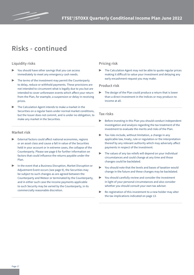

### **Risks - continued**

#### **Liquidity risks**

- You should have other savings that you can access immediately to meet any emergency cash needs.
- The terms of the investment may permit the Counterparty to delay, reduce or withhold payments. These provisions are not intended to circumvent what is legally due to you but are intended to cover unforeseen events which affect your return from the Plan, for example, a suspension or delay in receiving prices.
- The Calculation Agent intends to make a market in the Securities on a regular basis under normal market conditions, but the Issuer does not commit, and is under no obligation, to make any market in the Securities.

#### **Market risk**

- External factors could affect national economies, regions or an asset class and cause a fall in value of the Securities held in your account or in extreme cases, the collapse of the Counterparty. Please see page 6 for further information on factors that could influence the returns payable under the Plan.
- In the event that a Business Disruption, Market Disruption or Adjustment Event occurs (see page 9), the Securities may be subject to such changes as are agreed between the Counterparty and Meteor or terminated by the Counterparty, and in either such case the income payments applicable to such Security may be varied by the Counterparty, in its commercially reasonable discretion.

#### **Pricing risk**

The Calculation Agent may not be able to quote regular prices making it difficult to value your investment and delaying any early encashment request you may make.

#### **Product risk**

The design of the Plan could produce a return that is lower than a direct investment in the Indices or may produce no income at all.

#### **Tax risks**

- ▶ Before investing in this Plan you should conduct independent investigation and analysis regarding the tax treatment of the investment to evaluate the merits and risks of the Plan.
- $\blacktriangleright$  Tax risks include, without limitation, a change in any applicable law, treaty, rule or regulation or the interpretation thereof by any relevant authority which may adversely affect payments in respect of the investment.
- The values of any tax reliefs will depend on your individual circumstances and could change at any time and those changes could be backdated.
- You should note that the levels and bases of taxation would change in the future and these changes may be backdated.
- You should carefully review and consider the investment in light of your personal circumstances and also consider whether you should consult your own tax adviser.
- ▶ Re-registration of this investment to a new holder may alter the tax implications indicated on page 13.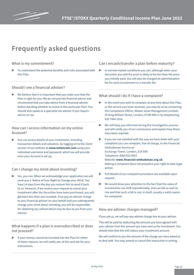

### **Frequently asked questions**

#### **What is my commitment?**

To understand the potential benefits and risks associated with this Plan.

#### **Should I see a financial adviser?**

We believe that it is important that you make sure that the Plan is right for you. We do not provide financial advice and recommend that you take advice from a financial adviser before deciding whether to invest in this particular Plan. You should also speak to a specialist tax adviser if you require advice on tax.

#### **How can I access information on my online Account?**

You can access details of your investment, including transaction details and valuation, by logging on to the client section of our website at **www.meteoram.com** using your individual username and password, which we will provide once your Account is set up.

#### **Can I change my mind about investing?**

Yes, you can. When we acknowledge your application we will send you a 'Notice of Your Right to Change your Mind'. You have 14 days from the day you receive this to send it back to us. However, if we receive your request to cancel your investment after the Securities have been purchased, you will get back less than you invested. If we pay an adviser charge to your financial adviser on your behalf and you subsequently change your mind about investing, you will be responsible for obtaining any refund which may be due to you from your adviser.

#### **What happens if a plan is oversubscribed or does not proceed?**

If your money cannot be invested into the Plan for either of these reasons, we will notify you of this and ask for your instructions.

#### **Can I encash/transfer a plan before maturity?**

In normal market conditions you can, although when your Securities are sold the price is likely to be less than the price you initially paid. You will also be charged an administration fee for early encashment or a transfer fee.

#### **What should I do if I have a complaint?**

- In the event you wish to complain at any time about this Plan, or the service you have received, you may do so by contacting the Compliance Officer, Meteor Asset Management Limited, 55 King William Street, London, EC4R 9AD or by telephoning 020 7904 1010.
- ▶ We will keep you informed during the investigation process and will notify you of our conclusions and explain how these have been reached.
- If you are not satisfied with the way we have dealt with your complaint you can complain, free of charge, to the Financial Ombudsman Service at: Exchange Tower, London, E14 9SR Telephone: 0800 023 4567 Website: **www.financial-ombudsman.org.uk** Making a complaint does not prejudice your right to take legal action.
- Full details of our complaint procedure are available upon request.
- We would draw your attention to the fact that the value of investments can shift unpredictably, and can fall as well as rise and that such a fall is not, in itself, usually a valid reason for complaint.

#### **How are adviser charges managed?**

If you ask us, we will pay any adviser charge due to your adviser.

This will be paid by deducting the amount you have agreed with your adviser from the amount you have sent us for investment. You should note that this will reduce your investment amount.

We will confirm to you the amount of the charge you have asked us to deal with. You may amend or cancel this instruction in writing.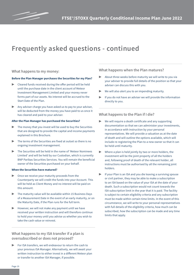

### **Frequently asked questions - continued**

#### **What happens to my money:**

#### **Before the Plan Manager purchases the Securities for my Plan?**

- ▶ Cleared funds received during the offer period will be held until the purchase date in the client account of Meteor Investment Management Limited and your money never forms part of our assets. No interest will be accrued to the Start Date of the Plan.
- Any adviser charge you have asked us to pay to your adviser, will be deducted from the money you have paid to us once it has cleared and paid to your adviser.

#### **After the Plan Manager has purchased the Securities?**

- $\blacktriangleright$  The money that you invest will be used to buy the Securities that are designed to provide the capital and income payments explained in this Brochure.
- The terms of the Securities are fixed at outset so there is no ongoing investment management.
- The Securities will be held in the name of 'Meteor Nominees Limited' and will be held by our Custodian, which is currently BNP Paribas Securities Services. You will remain the beneficial owner of the Securities purchased on your behalf.

#### **When the Securities have matured?**

- Once we receive your maturity proceeds from the Counterparty we will credit the funds into your Account. This will be held as Client Money and no interest will be paid on this amount.
- The maturity value will be available within 15 Business Days of a Measurement Date in the event of an early maturity, or on the Maturity Date, if the Plan runs for the full term.
- However, we will not make any payment until we have received your written instruction and will therefore continue to hold your money until you advise us whether you wish to take the cash value or reinvest.

#### **What happens to my ISA transfer if a plan is oversubscribed or does not proceed?**

For ISA transfers, we will endeavour to return the cash to your previous ISA Manager. Alternatively, we will await your written instruction to either invest in a different Meteor plan or transfer to another ISA Manager, if possible.

#### **What happens when the Plan matures?**

- About three weeks before maturity we will write to you via your adviser to provide full details of the position so that your adviser can discuss this with you.
- We will also alert you to an impending maturity.
- If you do not have an adviser we will provide the information directly to you.

#### **What happens to the Plan if I die?**

- We will require a death certificate and any supporting documentation so that we can administer your investments, in accordance with instruction by your personal representatives. We will provide a valuation as at the date of death and will outline the options available, which will include re-registering the Plan to a new owner so that it can be held until maturity.
- Where a plan is held jointly by two or more holders, the investment will be the joint property of all the holders and, following proof of death of the relevant holder, all instructions must be authorised by all the remaining joint holders.
- If your Plan is an ISA and you die leaving a surviving spouse or civil partner, they may be able to make a subscription to an ISA based on the value of your ISA at the date of your death. Such a subscription would not count towards the ISA subscription limit in the year that it is paid. The facility is subject to certain eligibility criteria and any subscription must be made within certain time limits. In the event of this circumstance, we will write to your personal representatives with full details of the eligibility criteria, how much can be subscribed, how the subscription can be made and any time limits that apply.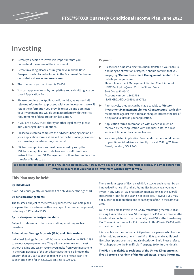

### **Investing**

- $\blacktriangleright$  Before you decide to invest it is important that you understand the nature of the investment.
- Before investing please ensure you have read the Base Prospectus which can be found in the Document Centre on our website at **www.meteoram.com**.
- The minimum you can invest is £5,000.
- You can apply online or by completing and submitting a paper based Application Form.
- ▶ Please complete the Application Form fully, as we need all relevant information to proceed with your investment. We will retain the information you provide to set up and administer your investment and will do so in accordance with the strict requirements of data protection legislation.
- If you are a SSAS, trust, charity or other legal entity, please add your Legal Entity Identifier.
- Please take care to complete the Adviser Charging section of your application form, as this will be the basis of any payment we make to your adviser on your behalf.
- ISA transfer applications must be received by us by the 'ISA transfer application' date to allow us sufficient time to instruct the current ISA Manager and for them to complete the transfer of funds to us.

#### **Payment**

- Please send funds via electronic bank transfer. If your bank is operating Confirmation of Payee, it should confirm that you are paying **'Meteor Investment Management Limited'.** The details you require are: Meteor Investment Management Limited Client Account HSBC Bank plc - Queen Victoria Street Branch Sort Code: 40-05-30 Account Number: 13692752 IBAN: GB21MIDL40053013692752
- ▶ Alternatively, cheques can be made payable to **'Meteor Investment Management Limited Client Account'**. We highly recommend against this option as cheques increase the risk of delays and failures in your application.
- Application forms accompanied with a cheque must be received by the 'Application with cheques' date, to allow sufficient time for the cheque to clear.
- Your completed Application Form and cheque should be sent to your financial adviser or directly to us at 55 King William Street, London, EC4R 9AD.

**We do not offer financial advice or guidance on tax issues. However, we believe that it is important to seek such advice before you invest, to ensure that you choose an investment which is right for you.**

#### **This Plan may be held:**

#### **By individuals**

As an individual, jointly, or on behalf of a child under the age of 18.

#### **By pension arrangements**

The trustees, subject to the terms of your scheme, can hold plans as a permitted investment within any type of pension arrangement, including a SIPP and a SSAS.

#### **By trustees/companies/partnerships**

Subject to relevant articles of association permitting such an investment.

#### **As Individual Savings Accounts (ISAs) and ISA transfers**

Individual Savings Accounts (ISAs) were launched in the UK in 1999 to encourage people to save. They allow you to save and invest without paying any tax on returns you make from your investment in the Plan. Because of the tax advantages there is a limit on the amount that you can subscribe to ISAs in any one tax year. The subscription limit for the 2022/23 tax year is £20,000.

There are four types of ISA - a cash ISA, a stocks and shares ISA, an Innovative Finance ISA and a Lifetime ISA. In a tax year you may invest in any type of ISA, or a combination, as long as the overall subscription limit for the year is not exceeded. However, you may not subscribe to more than one of each type of ISA in the same tax year.

You are also able to invest in an ISA by transferring the value of an existing ISA or ISAs to a new ISA manager. The ISA which receives the transfer does not have to be the same type of ISA as the transferring ISA. The minimum value for ISA transfers to this Plan is £5,000, with no maximum limit.

It is possible for the spouse or civil partner of a person who has died whilst holding an investment in an ISA or ISAs to make additional ISA subscriptions over the annual subscription limit. Please refer to "What happens to the Plan if I die?" on page 19 for further details.

**The Plan is available to residents of the United Kingdom only. If you become a resident of the United States, please inform us.**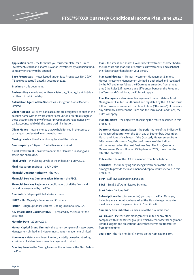

### **Glossary**

**Application Form –** the form that you must complete, for a Direct Investment, stocks and shares ISA or an investment by a pension fund, company or charity to be opened.

**Base Prospectus –** Notes issued under Base Prospectus No. 2 (UK) ("Base Prospectus") dated 3 December 2021.

**Brochure –** this document.

**Business Day –** any day other than a Saturday, Sunday, bank holiday or other UK public holiday.

**Calculation Agent of the Securities –** Citigroup Global Markets Limited.

**Client Account –** all client bank accounts are designated as such in the account name with the words 'client account', in order to distinguish those accounts from any of Meteor Investment Management's own bank accounts held with the same credit institution.

**Client Money –** means money that we hold for you in the course of carrying on designated investment business.

**Closing Levels –** the official closing levels of the Indices.

**Counterparty –** Citigroup Global Markets Limited.

**Direct Investment –** an investment in the Plan not qualifying as a stocks and shares ISA.

**Final Levels –** the Closing Levels of the Indices on 1 July 2030.

**Final Measurement Date –** 1 July 2030.

**Financial Conduct Authority –** the FCA.

**Financial Services Compensation Scheme** – the FSCS.

**Financial Services Register –** a public record of all the firms and individuals regulated by the FCA.

**Guarantor -** Citigroup Global Markets Limited.

**HMRC –** Her Majesty's Revenue and Customs.

**Issuer –** Citigroup Global Markets Funding Luxembourg S.C.A.

**Key Information Document (KID) - prepared by the Issuer of the** Securities.

**Maturity Date –** 22 July 2030.

**Meteor Capital Group Limited –** the parent company of Meteor Asset Management Limited and Meteor Investment Management Limited.

**Nominees –** Meteor Nominees Limited, a totally owned nontrading subsidiary of Meteor Investment Management Limited.

**Opening Levels –** the Closing Levels of the Indices on the Start Date of the Plan.

**Plan –** the stocks and shares ISA or Direct Investment, as described in the Brochure and made up of Securities (investments) and cash that the Plan Manager handles on your behalf.

**Plan Administrator –** Meteor Investment Management Limited. Meteor Investment Management Limited is authorised and regulated by the FCA and must follow the FCA rules as amended from time to time ('the Rules'). If there are any differences between the Rules and the Terms and Conditions, the Rules will apply.

**Plan Manager –** Meteor Asset Management Limited. Meteor Asset Management Limited is authorised and regulated by the FCA and must follow its rules as amended from time to time ("the Rules"). If there are any differences between the Rules and the Terms and Conditions, the Rules will apply.

**Plan Objective –** the objective of securing the return described in this Brochure.

**Quarterly Measurement Dates** - the performance of the Indices will be measured quarterly on the 29th day of September, December, March and June of each year. If the Quarterly Measurement Date falls on a non-Business Day, the performance of the Indices will be measured on the next Business Day. The first Quarterly Measurement Date will be on 29 September 2022, three months after the Start Date.

**Rules –** the rules of the FCA as amended from time to time.

**Securities –** the underlying qualifying investments of the Plan, arranged to provide the investment and capital returns set out in this Brochure.

**SIPP** – Self-Invested Personal Pension.

**SSAS –** Small Self-Administered Scheme.

**Start Date –** 29 June 2022.

**Subscription -** the total amount(s) you pay to the Plan Manager, including any amount you have asked the Plan Manager to pay to meet any adviser charges outlined in Condition 8b.

**Summary Risk Indicator - a measure of the risk in the Plan.** 

**we, us, our –** Meteor Asset Management Limited or any other company within the Meteor group to which Meteor Asset Management Limited's rights and obligations under these terms are transferred from time to time.

**you, your –** the Plan holder(s) named on the Application Form.